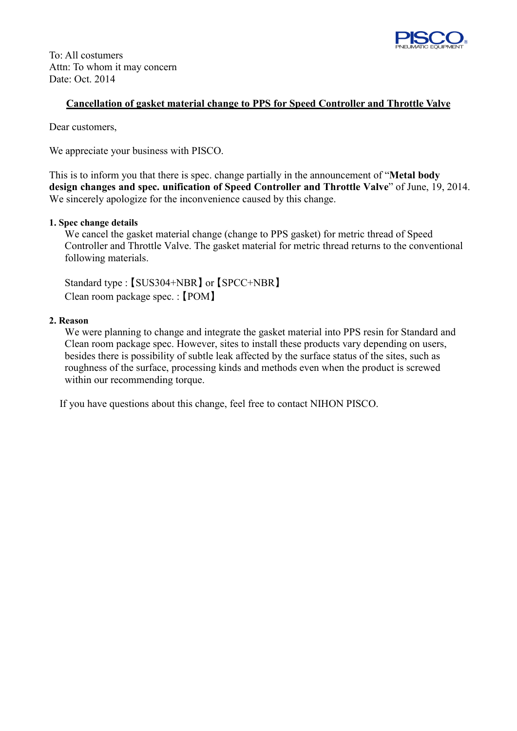

To: All costumers Attn: To whom it may concern Date: Oct. 2014

## **Cancellation of gasket material change to PPS for Speed Controller and Throttle Valve**

Dear customers,

We appreciate your business with PISCO.

This is to inform you that there is spec. change partially in the announcement of "**Metal body design changes and spec. unification of Speed Controller and Throttle Valve**" of June, 19, 2014. We sincerely apologize for the inconvenience caused by this change.

## **1. Spec change details**

 We cancel the gasket material change (change to PPS gasket) for metric thread of Speed Controller and Throttle Valve. The gasket material for metric thread returns to the conventional following materials.

 Standard type : 【SUS304+NBR】 or 【SPCC+NBR】 Clean room package spec. : 【POM】

## **2. Reason**

We were planning to change and integrate the gasket material into PPS resin for Standard and Clean room package spec. However, sites to install these products vary depending on users, besides there is possibility of subtle leak affected by the surface status of the sites, such as roughness of the surface, processing kinds and methods even when the product is screwed within our recommending torque.

If you have questions about this change, feel free to contact NIHON PISCO.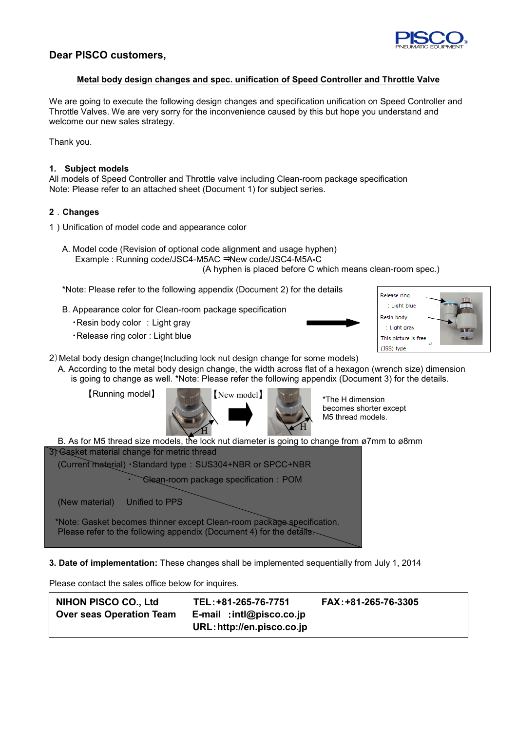

# **Dear PISCO customers,**

## **Metal body design changes and spec. unification of Speed Controller and Throttle Valve**

We are going to execute the following design changes and specification unification on Speed Controller and Throttle Valves. We are very sorry for the inconvenience caused by this but hope you understand and welcome our new sales strategy.

Thank you.

## **1. Subject models**

All models of Speed Controller and Throttle valve including Clean-room package specification Note: Please refer to an attached sheet (Document 1) for subject series.

### **2**.**Changes**

- 1)Unification of model code and appearance color
	- A. Model code (Revision of optional code alignment and usage hyphen) Example : Running code/JSC4-M5AC ⇒New code/JSC4-M5A**-**C (A hyphen is placed before C which means clean-room spec.)

\*Note: Please refer to the following appendix (Document 2) for the details

- B. Appearance color for Clean-room package specification
	- ・Resin body color :Light gray
	- ・Release ring color : Light blue





- 2)Metal body design change(Including lock nut design change for some models)
	- A. According to the metal body design change, the width across flat of a hexagon (wrench size) dimension is going to change as well. \*Note: Please refer the following appendix (Document 3) for the details.





B. As for M5 thread size models, the lock nut diameter is going to change from ø7mm to ø8mm 3) Gasket material change for metric thread

(Current material) ・Standard type:SUS304+NBR or SPCC+NBR

Clean-room package specification: POM

(New material) Unified to PPS

\*Note: Gasket becomes thinner except Clean-room package specification. Please refer to the following appendix (Document 4) for the details.

**3. Date of implementation:** These changes shall be implemented sequentially from July 1, 2014

Please contact the sales office below for inquires.

| NIHON PISCO CO., Ltd            | TEL: +81-265-76-7751        | FAX: +81-265-76-3305 |
|---------------------------------|-----------------------------|----------------------|
| <b>Over seas Operation Team</b> | $E$ -mail: intl@pisco.co.jp |                      |
|                                 | URL: http://en.pisco.co.jp  |                      |